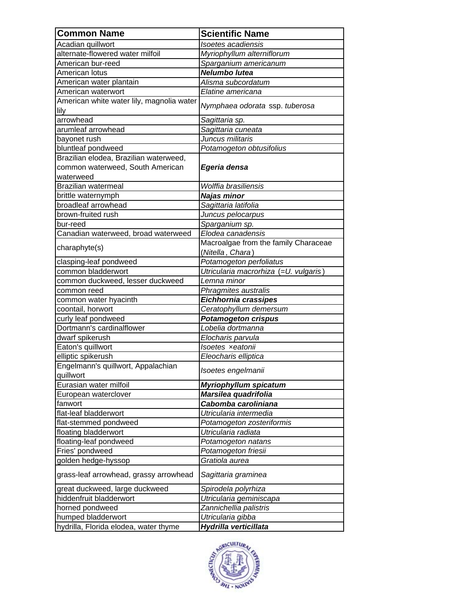| <b>Common Name</b>                                    | <b>Scientific Name</b>                 |
|-------------------------------------------------------|----------------------------------------|
|                                                       |                                        |
| Acadian quillwort<br>alternate-flowered water milfoil | Isoetes acadiensis                     |
|                                                       | Myriophyllum alterniflorum             |
| American bur-reed                                     | Sparganium americanum<br>Nelumbo lutea |
| American lotus                                        |                                        |
| American water plantain                               | Alisma subcordatum                     |
| American waterwort                                    | Elatine americana                      |
| American white water lily, magnolia water<br>lily     | Nymphaea odorata ssp. tuberosa         |
| arrowhead                                             | Sagittaria sp.                         |
| arumleaf arrowhead                                    | Sagittaria cuneata                     |
| bayonet rush                                          | Juncus militaris                       |
| bluntleaf pondweed                                    | Potamogeton obtusifolius               |
| Brazilian elodea, Brazilian waterweed,                |                                        |
| common waterweed, South American                      | Egeria densa                           |
| waterweed                                             |                                        |
| Brazilian watermeal                                   | Wolffia brasiliensis                   |
| brittle waternymph                                    | Najas minor                            |
| broadleaf arrowhead                                   | Sagittaria latifolia                   |
| brown-fruited rush                                    | Juncus pelocarpus                      |
| bur-reed                                              | Sparganium sp.                         |
| Canadian waterweed, broad waterweed                   | Elodea canadensis                      |
|                                                       | Macroalgae from the family Characeae   |
| charaphyte(s)                                         | (Nitella, Chara)                       |
| clasping-leaf pondweed                                | Potamogeton perfoliatus                |
| common bladderwort                                    | Utricularia macrorhiza (=U. vulgaris)  |
| common duckweed, lesser duckweed                      | Lemna minor                            |
| common reed                                           | Phragmites australis                   |
| common water hyacinth                                 | Eichhornia crassipes                   |
| coontail, horwort                                     | Ceratophyllum demersum                 |
| curly leaf pondweed                                   | <b>Potamogeton crispus</b>             |
| Dortmann's cardinalflower                             | Lobelia dortmanna                      |
| dwarf spikerush                                       | Elocharis parvula                      |
| Eaton's quillwort                                     | Isoetes xeatonii                       |
| elliptic spikerush                                    | Eleocharis elliptica                   |
| Engelmann's quillwort, Appalachian                    |                                        |
| quillwort                                             | Isoetes engelmanii                     |
| Eurasian water milfoil                                | Myriophyllum spicatum                  |
| European waterclover                                  | Marsilea quadrifolia                   |
| fanwort                                               | Cabomba caroliniana                    |
| flat-leaf bladderwort                                 | Utricularia intermedia                 |
| flat-stemmed pondweed                                 | Potamogeton zosteriformis              |
| floating bladderwort                                  | Utricularia radiata                    |
| floating-leaf pondweed                                | Potamogeton natans                     |
| Fries' pondweed                                       | Potamogeton friesii                    |
| golden hedge-hyssop                                   | Gratiola aurea                         |
|                                                       |                                        |
| grass-leaf arrowhead, grassy arrowhead                | Sagittaria graminea                    |
| great duckweed, large duckweed                        | Spirodela polyrhiza                    |
| hiddenfruit bladderwort                               | Utricularia geminiscapa                |
| horned pondweed                                       | Zannichellia palistris                 |
| humped bladderwort                                    | Utricularia gibba                      |
| hydrilla, Florida elodea, water thyme                 | Hydrilla verticillata                  |

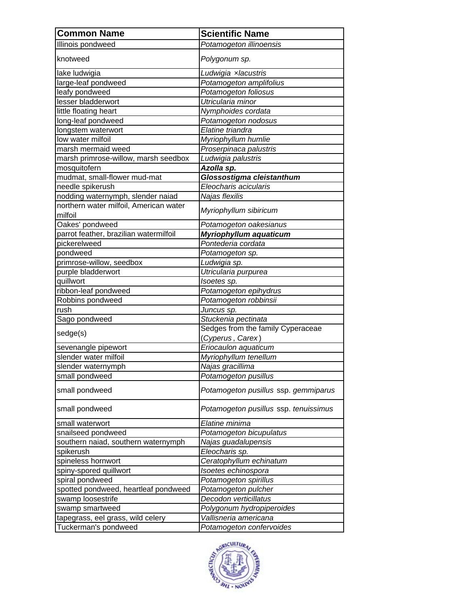| <b>Common Name</b>                     | <b>Scientific Name</b>                                |
|----------------------------------------|-------------------------------------------------------|
| Illinois pondweed                      | Potamogeton illinoensis                               |
| knotweed                               | Polygonum sp.                                         |
| lake ludwigia                          | Ludwigia xlacustris                                   |
| large-leaf pondweed                    | Potamogeton amplifolius                               |
| leafy pondweed                         | Potamogeton foliosus                                  |
| lesser bladderwort                     | Utricularia minor                                     |
| little floating heart                  | Nymphoides cordata                                    |
| long-leaf pondweed                     | Potamogeton nodosus                                   |
| longstem waterwort                     | Elatine triandra                                      |
| low water milfoil                      | Myriophyllum humlie                                   |
| marsh mermaid weed                     | Proserpinaca palustris                                |
| marsh primrose-willow, marsh seedbox   | Ludwigia palustris                                    |
| mosquitofern                           | Azolla sp.                                            |
| mudmat, small-flower mud-mat           | Glossostigma cleistanthum                             |
| needle spikerush                       | Eleocharis acicularis                                 |
| nodding waternymph, slender naiad      | Najas flexilis                                        |
| northern water milfoil, American water |                                                       |
| milfoil                                | Myriophyllum sibiricum                                |
| Oakes' pondweed                        | Potamogeton oakesianus                                |
| parrot feather, brazilian watermilfoil | Myriophyllum aquaticum                                |
| pickerelweed                           | Pontederia cordata                                    |
| pondweed                               | Potamogeton sp.                                       |
| primrose-willow, seedbox               | Ludwigia sp.                                          |
| purple bladderwort                     | Utricularia purpurea                                  |
| quillwort                              | Isoetes sp.                                           |
| ribbon-leaf pondweed                   | Potamogeton epihydrus                                 |
| Robbins pondweed                       | Potamogeton robbinsii                                 |
| rush                                   | Juncus sp.                                            |
| Sago pondweed                          | Stuckenia pectinata                                   |
| sedge(s)                               | Sedges from the family Cyperaceae<br>(Cyperus, Carex) |
| sevenangle pipewort                    | Eriocaulon aquaticum                                  |
| slender water milfoil                  | Myriophyllum tenellum                                 |
| slender waternymph                     | Najas gracillima                                      |
| small pondweed                         | Potamogeton pusillus                                  |
|                                        |                                                       |
| small pondweed                         | Potamogeton pusillus ssp. gemmiparus                  |
| small pondweed                         | Potamogeton pusillus ssp. tenuissimus                 |
| small waterwort                        | Elatine minima                                        |
| snailseed pondweed                     | Potamogeton bicupulatus                               |
| southern naiad, southern waternymph    | Najas guadalupensis                                   |
| spikerush                              | Eleocharis sp.                                        |
| spineless hornwort                     | Ceratophyllum echinatum                               |
| spiny-spored quillwort                 | Isoetes echinospora                                   |
| spiral pondweed                        | Potamogeton spirillus                                 |
| spotted pondweed, heartleaf pondweed   | Potamogeton pulcher                                   |
| swamp loosestrife                      | Decodon verticillatus                                 |
| swamp smartweed                        | Polygonum hydropiperoides                             |
| tapegrass, eel grass, wild celery      | Vallisneria americana                                 |
| Tuckerman's pondweed                   | Potamogeton confervoides                              |